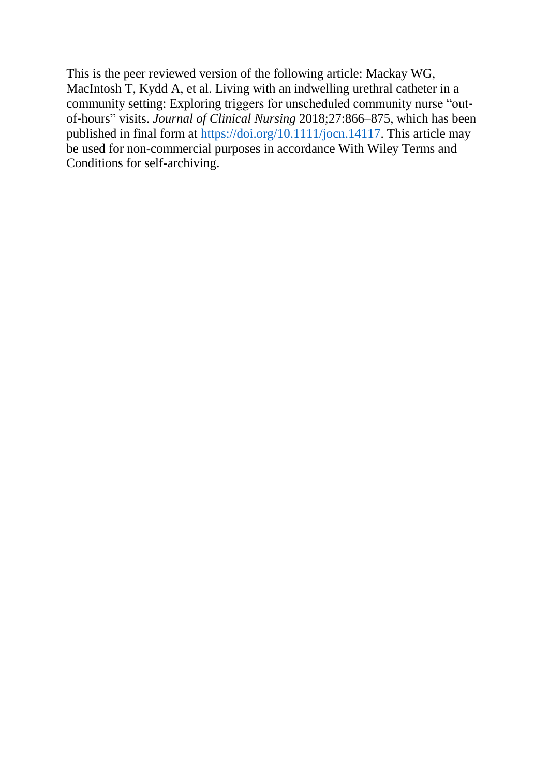This is the peer reviewed version of the following article: Mackay WG, MacIntosh T, Kydd A, et al. Living with an indwelling urethral catheter in a community setting: Exploring triggers for unscheduled community nurse "outof‐hours" visits. *Journal of Clinical Nursing* 2018;27:866–875, which has been published in final form at [https://doi.org/10.1111/jocn.14117.](https://doi.org/10.1111/jocn.14117) This article may be used for non-commercial purposes in accordance With Wiley Terms and Conditions for self-archiving.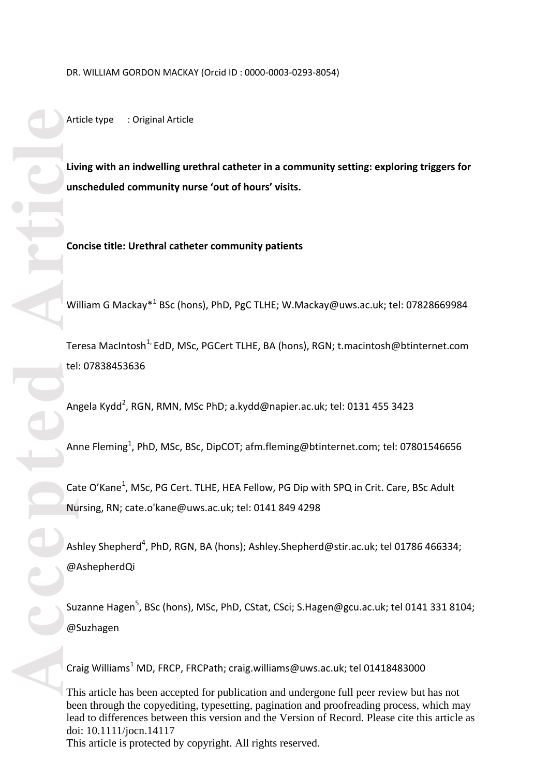DR. WILLIAM GORDON MACKAY (Orcid ID : 0000 -0003 -0293 -8054)

Article type : Original Article

**Living with an indwelling urethral catheter in a community setting: exploring triggers for unscheduled community nurse 'out of hours' visits.**

**Concise title: Urethral catheter community patients**

William G Mackay<sup>\*1</sup> BSc (hons), PhD, PgC TLHE; [W.Mackay@uws.ac.uk;](mailto:W.Mackay@uws.ac.uk) tel: 07828669984

Teresa MacIntosh<sup>1,</sup> EdD, MSc, PGCert TLHE, BA (hons), RGN; [t.macintosh@btinternet.com](mailto:t.macintosh@btinternet.com) tel: 07838453636

Angela Kydd<sup>2</sup>, RGN, RMN, MSc PhD; [a.kydd@napier.ac.uk;](mailto:a.kydd@napier.ac.uk) tel: 0131 455 3423

Anne Fleming<sup>1</sup>, PhD, MSc, BSc, DipCOT; [afm.fleming@btinternet.com;](mailto:afm.fleming@btinternet.com) tel: 07801546656

Cate O'Kane<sup>1</sup>, MSc, PG Cert. TLHE, HEA Fellow, PG Dip with SPQ in Crit. Care, BSc Adult Nursing, RN; cate.o'kane@uws.ac.uk; tel: 0141 849 4298

Ashley Shepherd<sup>4</sup>, PhD, RGN, BA (hons); [Ashley.Shepherd@stir.ac.uk;](mailto:Ashley.Shepherd@stir.ac.uk) tel 01786 466334; @AshepherdQi

Suzanne Hagen<sup>5</sup>, BSc (hons), MSc, PhD, CStat, CSci; [S.Hagen@gcu.ac.uk;](mailto:S.Hagen@gcu.ac.uk) tel 0141 331 8104; @Suzhagen

Craig Williams<sup>1</sup> MD, FRCP, FRCPath; [craig.williams@uws.ac.uk;](mailto:craig.williams@uws.ac.uk) tel 01418483000

This article has been accepted for publication and undergone full peer review but has not been through the copyediting, typesetting, pagination and proofreading process, which may lead to differences between this version and the Version of Record. Please cite this article as doi: 10.1111/jocn.14117 This article is protected by copyright. All rights reserved.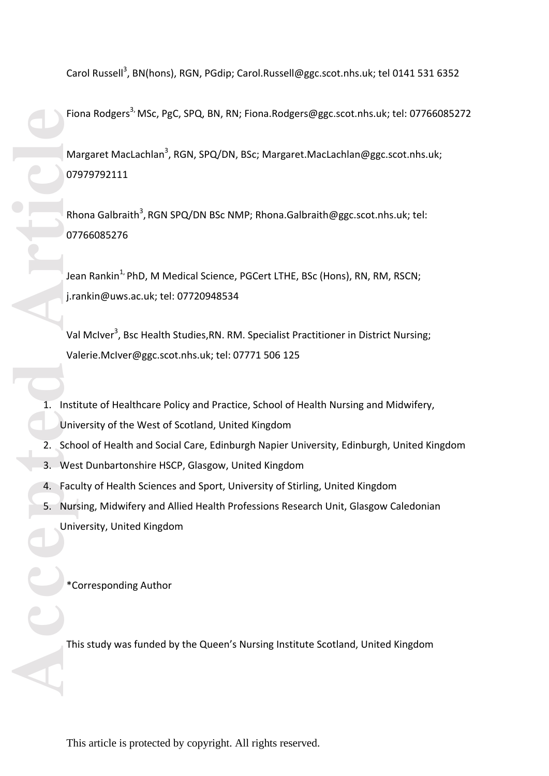Carol Russell<sup>3</sup>, BN(hons), RGN, PGdip; [Carol.Russell@ggc.scot.nhs.uk;](mailto:Carol.Russell@ggc.scot.nhs.uk) tel 0141 531 6352

Fiona Rodgers<sup>3,</sup> MSc, PgC, SPQ, BN, RN; [Fiona.Rodgers@ggc.scot.nhs.uk;](mailto:Fiona.Rodgers@ggc.scot.nhs.uk) tel: 07766085272 Margaret MacLachlan<sup>3</sup>, RGN, SPQ/DN, BSc; [Margaret.MacLachlan@ggc.scot.nhs.uk;](mailto:Margaret.MacLachlan@ggc.scot.nhs.uk) 07979792111

Rhona Galbraith<sup>3</sup>, RGN SPQ/DN BSc NMP; Rhona.Galbraith@ggc.scot.nhs.uk; tel: 07766085276

Jean Rankin<sup>1,</sup> PhD, M Medical Science, PGCert LTHE, BSc (Hons), RN, RM, RSCN; [j.rankin@uws.ac.uk;](mailto:j.rankin@uws.ac.uk) tel: 07720948534

Val McIver<sup>3</sup>, Bsc Health Studies, RN. RM. Specialist Practitioner in District Nursing; [Valerie.McIver@ggc.scot.nhs.uk;](mailto:Valerie.McIver@ggc.scot.nhs.uk) tel: 07771 506 125

- 1. Institute of Healthcare Policy and Practice, School of Health Nursing and Midwifery, University of the West of Scotland, United Kingdom
- 2. School of Health and Social Care, Edinburgh Napier University, Edinburgh, United Kingdom
- 3. West Dunbartonshire HSCP, Glasgow, United Kingdom
- 4. Faculty of Health Sciences and Sport, University of Stirling, United Kingdom
- 5. Nursing, Midwifery and Allied Health Professions Research Unit, Glasgow Caledonian University, United Kingdom

\*Corresponding Author

This study was funded by the Queen's Nursing Institute Scotland, United Kingdom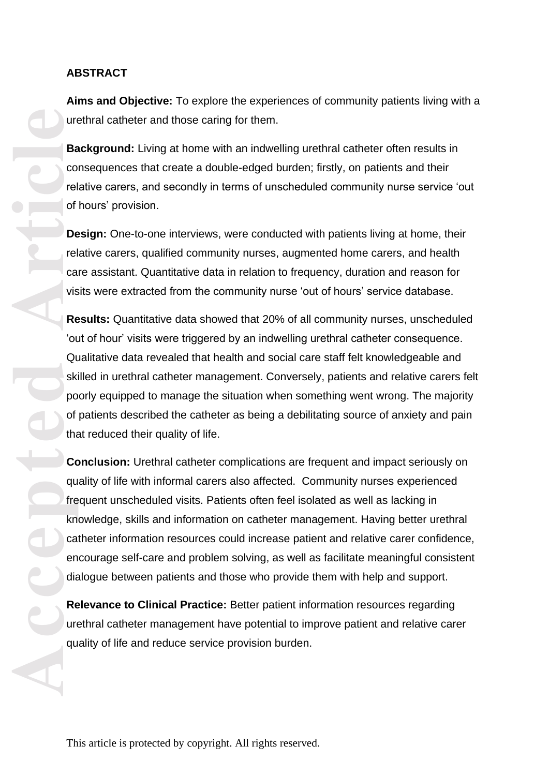### **ABSTRACT**

**Aims and Objective:** To explore the experiences of community patients living with a urethral catheter and those caring for them.

**Background:** Living at home with an indwelling urethral catheter often results in consequences that create a double -edged burden; firstly, on patients and their relative carers, and secondly in terms of unscheduled community nurse service 'out of hours' provision.

**Design:** One-to-one interviews, were conducted with patients living at home, their relative carers, qualified community nurses, augmented home carers, and health care assistant. Quantitative data in relation to frequency, duration and reason for visits were extracted from the community nurse 'out of hours' service database.

**Results:** Quantitative data showed that 20% of all community nurses, unscheduled 'out of hour' visits were triggered by an indwelling urethral catheter consequence. Qualitative data revealed that health and social care staff felt knowledgeable and skilled in urethral catheter management. Conversely, patients and relative carers felt poorly equipped to manage the situation when something went wrong. The majority of patients described the catheter as being a debilitating source of anxiety and pain that reduced their quality of life.

**Accepted Article**<br> **Article**<br> **Article**<br> **Article**<br> **Article**<br> **Article**<br> **Article**<br> **Article**<br> **Article**<br> **Article**<br> **Article**<br> **Article**<br> **Article**<br> **Article**<br> **Article**<br> **Article**<br> **Article**<br> **Article**<br> **Article**<br> **A Conclusion:** Urethral catheter complications are frequent and impact seriously on quality of life with informal carers also affected. Community nurses experienced frequent unscheduled visits. Patients often feel isolated as well as lacking in knowledge, skills and information on catheter management. Having better urethral catheter information resources could increase patient and relative carer confidence, encourage self -care and problem solving, as well as facilitate meaningful consistent dialogue between patients and those who provide them with help and support.

**Relevance to Clinical Practice:** Better patient information resources regarding urethral catheter management have potential to improve patient and relative carer quality of life and reduce service provision burden.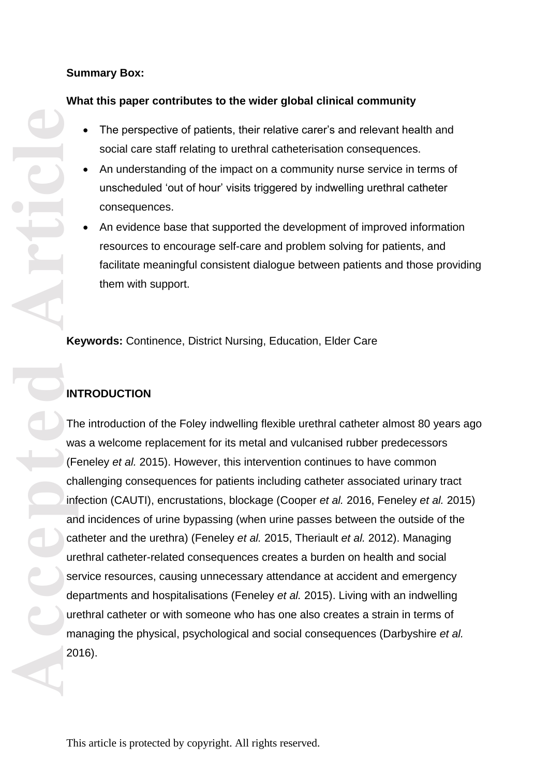## **Summary Box:**

## **What this paper contributes to the wider global clinical community**

- The perspective of patients, their relative carer's and relevant health and social care staff relating to urethral catheterisation consequences.
- An understanding of the impact on a community nurse service in terms of unscheduled 'out of hour' visits triggered by indwelling urethral catheter consequences.
- An evidence base that supported the development of improved information resources to encourage self-care and problem solving for patients, and facilitate meaningful consistent dialogue between patients and those providing them with support.

**Keywords:** Continence, District Nursing, Education, Elder Care

# **INTRODUCTION**

**ACCEPTED ARCEPTED ARCEPTED ARCEPTED ARCEPTED ARCEPTED ARCEPTED ARCEPTED ARCEPTED ARCEPTED ARCEPTED ARCEPTED ARCEPTED ARCEPTED ARCEPTED ARCEPTED ARCEPTED ARCEPTED ARCEPTED ARCEPTED A** The introduction of the Foley indwelling flexible urethral catheter almost 80 years ago was a welcome replacement for its metal and vulcanised rubber predecessors (Feneley *et al.* 2015). However, this intervention continues to have common challenging consequences for patients including catheter associated urinary tract infection (CAUTI), encrustations, blockage (Cooper *et al.* 2016, Feneley *et al.* 2015) and incidences of urine bypassing (when urine passes between the outside of the catheter and the urethra) (Feneley *et al.* 2015, Theriault *et al.* 2012) . Managing urethral catheter -related consequences creates a burden on health and social service resources, causing unnecessary attendance at accident and emergency departments and hospitalisations (Feneley *et al.* 2015). Living with an indwelling urethral catheter or with someone who has one also creates a strain in terms of managing the physical, psychological and social consequences (Darbyshire *et al.* 2016) .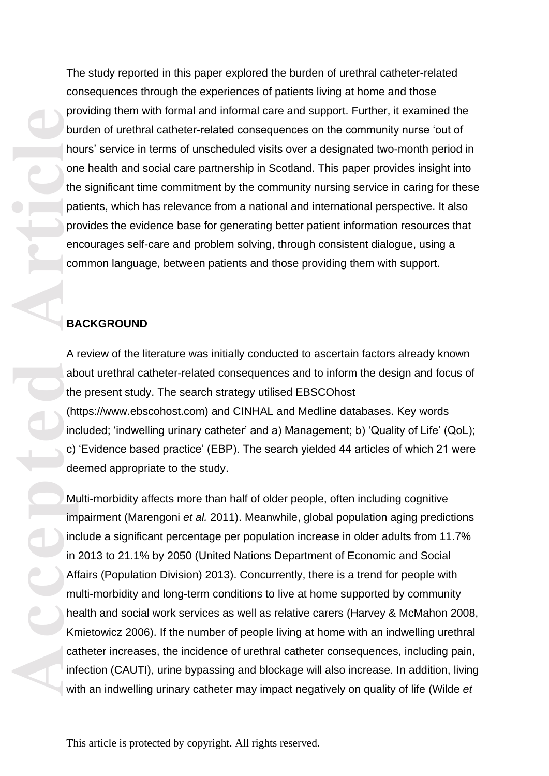The study reported in this paper explored the burden of urethral catheter -related consequences through the experiences of patients living at home and those providing them with formal and informal care and support. Further, it examined the burden of urethral catheter-related consequences on the community nurse 'out of hours' service in terms of unscheduled visits over a designated two -month period in one health and social care partnership in Scotland. This paper provides insight into the significant time commitment by the community nursing service in caring for these patients, which has relevance from a national and international perspective. It also provides the evidence base for generating better patient information resources that encourages self -care and problem solving, through consistent dialogue, using a common language, between patients and those providing them with support.

## **BACKGROUND**

A review of the literature was initially conducted to ascertain factors already known about urethral catheter-related consequences and to inform the design and focus of the present study. The search strategy utilised EBSCOhost [\(https://www.ebscohost.com\)](https://www.ebscohost.com/) and CINHAL and Medline databases. Key words included; 'indwelling urinary catheter' and a) Management; b) 'Quality of Life' (QoL); c) 'Evidence based practice' (EBP). The search yielded 44 articles of which 21 were deemed appropriate to the study.

production the particle and the particle and the particle and the particle and the particle and the particle and the condensity in the Kn can infinite and infinite and infinite and infinite and infinite and infinite and in Multi -morbidity affects more than half of older people, often including cognitive impairment (Marengoni *et al.* 2011). Meanwhile, global population aging predictions include a significant percentage per population increase in older adults from 11.7% in 2013 to 21.1% by 2050 (United Nations Department of Economic and Social Affairs (Population Division) 2013). Concurrently, there is a trend for people with multi-morbidity and long-term conditions to live at home supported by community health and social work services as well as relative carers (Harvey & McMahon 2008, Kmietowicz 2006). If the number of people living at home with an indwelling urethral catheter increases, the incidence of urethral catheter consequences, including pain, infection (CAUTI), urine bypassing and blockage will also increase. In addition, living with an indwelling urinary catheter may impact negatively on quality of life (Wilde *et*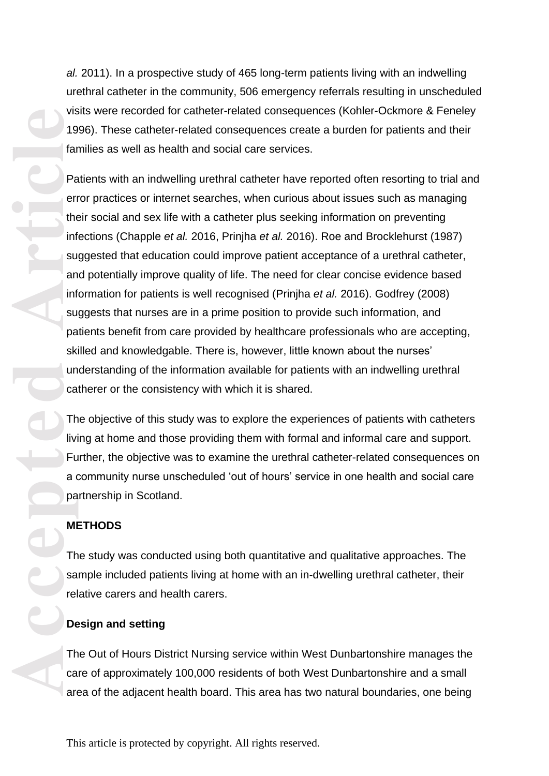al. 2011). In a prospective study of 465 long-term patients living with an indwelling urethral catheter in the community, 506 emergency referrals resulting in unscheduled visits were recorded for catheter-related consequences (Kohler-Ockmore & Feneley 1996). These catheter -related consequences create a burden for patients and their families as well as health and social care services.<br>Patients with an indwelling urethral catheter have reported often resorting to trial and

error practices or internet searches, when curious about issues such as managing their social and sex life with a catheter plus seeking information on preventing infections (Chapple *et al.* 2016, Prinjha *et al.* 2016). Roe and Brocklehurst (1987) suggested that education could improve patient acceptance of a urethral catheter, and potentially improve quality of life. The need for clear concise evidence based information for patients is well recognised (Prinjha *et al.* 2016). Godfrey (2008) suggests that nurses are in a prime position to provide such information, and patients benefit from care provided by healthcare professionals who are accepting, skilled and knowledgable. There is, however, little known about the nurses' understanding of the information available for patients with an indwelling urethral catherer or the consistency with which it is shared.

The objective of this study was to explore the experiences of patients with catheters living at home and those providing them with formal and informal care and support. Further, the objective was to examine the urethral catheter -related consequences on a community nurse unscheduled 'out of hours' service in one health and social care partnership in Scotland.

### **METHODS**

The study was conducted using both quantitative and qualitative approaches. The sample included patients living at home with an in -dwelling urethral catheter, their relative carers and health carers.

### **Design and setting**

The Out of Hours District Nursing service within West Dunbartonshire manages the care of approximately 100,000 residents of both West Dunbartonshire and a small area of the adjacent health board. This area has two natural boundaries, one being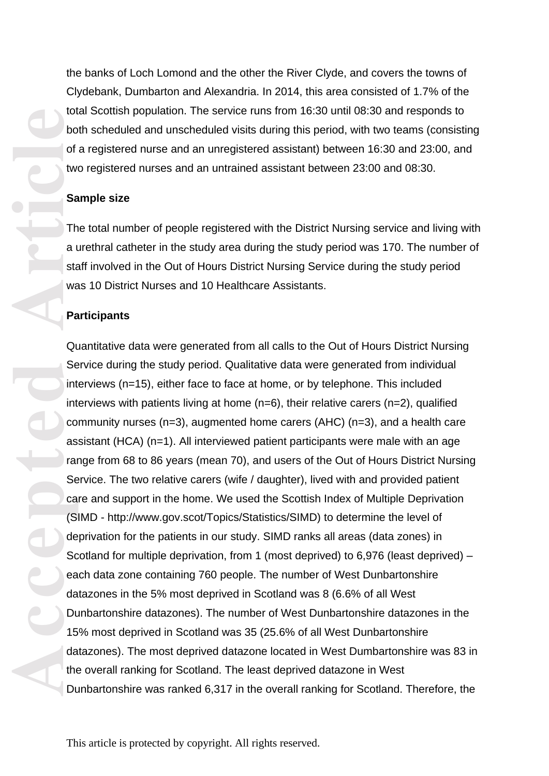the banks of Loch Lomond and the other the River Clyde, and covers the towns of Clydebank, Dumbarton and Alexandria. In 2014, this area consisted of 1.7% of the total Scottish population. The service runs from 16:30 until 08:30 and responds to both scheduled and unscheduled visits during this period, with two teams (consisting of a registered nurse and an unregistered assistant) between 16:30 and 23:00, and two registered nurses and an untrained assistant between 23:00 and 08:30.

#### **Sample size**

The total number of people registered with the District Nursing service and living with a urethral catheter in the study area during the study period was 170. The number of staff involved in the Out of Hours District Nursing Service during the study period was 10 District Nurses and 10 Healthcare Assistants.

#### **Participants**

**Accepted Article**<br> **Article**<br> **Article**<br> **Article**<br> **Article**<br> **Article**<br> **Article**<br> **Article**<br> **Article**<br> **Article**<br> **Article**<br> **Article**<br> **Article**<br> **Article**<br> **Article**<br> **Article**<br> **Article**<br> **Article**<br> **Article**<br> **A** Quantitative data were generated from all calls to the Out of Hours District Nursing Service during the study period. Qualitative data were generated from individual interviews (n=15), either face to face at home, or by telephone. This included interviews with patients living at home (n=6), their relative carers (n=2), qualified community nurses (n=3), augmented home carers (AHC) (n=3), and a health care assistant (HCA) (n=1). All interviewed patient participants were male with an age range from 68 to 86 years (mean 70), and users of the Out of Hours District Nursing Service. The two relative carers (wife / daughter), lived with and provided patient care and support in the home. We used the Scottish Index of Multiple Deprivation (SIMD - [http://www.gov.scot/Topics/Statistics/SIMD\)](http://www.gov.scot/Topics/Statistics/SIMD)) to determine the level of deprivation for the patients in our study. SIMD ranks all areas (data zones) in Scotland for multiple deprivation, from 1 (most deprived) to 6,976 (least deprived) – each data zone containing 760 people. The number of West Dunbartonshire datazones in the 5% most deprived in Scotland was 8 (6.6% of all West Dunbartonshire datazones). The number of West Dunbartonshire datazones in the 15% most deprived in Scotland was 35 (25.6% of all West Dunbartonshire datazones). The most deprived datazone located in West Dumbartonshire was 83 in the overall ranking for Scotland. The least deprived datazone in West Dunbartonshire was ranked 6,317 in the overall ranking for Scotland. Therefore, the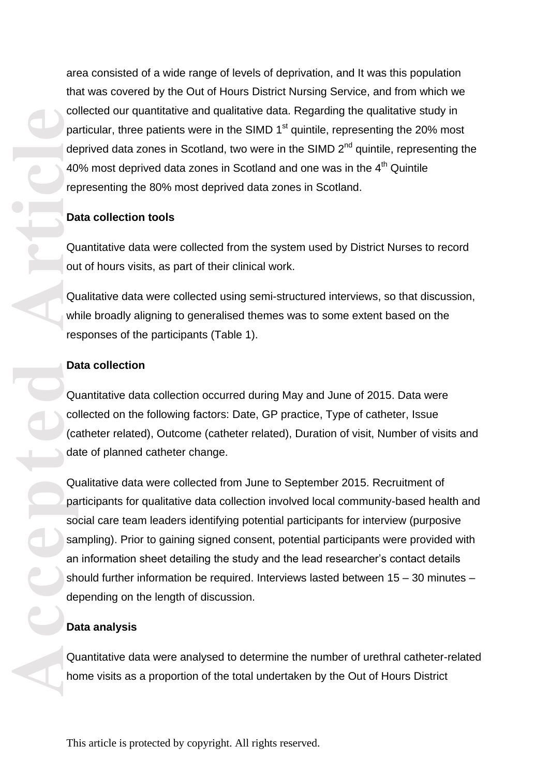area consisted of a wide range of levels of deprivation, and It was this population that was covered by the Out of Hours District Nursing Service, and from which we collected our quantitative and qualitative data. Regarding the qualitative study in particular, three patients were in the SIMD  $1<sup>st</sup>$  quintile, representing the 20% most deprived data zones in Scotland, two were in the SIMD 2<sup>nd</sup> quintile, representing the 40% most deprived data zones in Scotland and one was in the 4<sup>th</sup> Quintile representing the 80% most deprived data zones in Scotland.

#### **Data collection tools**

Quantitative data were collected from the system used by District Nurses to record out of hours visits, as part of their clinical work.

Qualitative data were collected using semi-structured interviews, so that discussion, while broadly aligning to generalised themes was to some extent based on the responses of the participants (Table 1).

#### **Data collection**

Quantitative data collection occurred during May and June of 2015. Data were collected on the following factors: Date, GP practice, Type of catheter, Issue (catheter related), Outcome (catheter related), Duration of visit, Number of visits and date of planned catheter change.

Qualitative data were collected from June to September 2015. Recruitment of participants for qualitative data collection involved local community -based health and social care team leaders identifying potential participants for interview (purposive sampling). Prior to gaining signed consent, potential participants were provided with an information sheet detailing the study and the lead researcher's contact details should further information be required. Interviews lasted between 15 – 30 minutes – depending on the length of discussion.

#### **Data analysis**

Quantitative data were analysed to determine the number of urethral catheter -related home visits as a proportion of the total undertaken by the Out of Hours District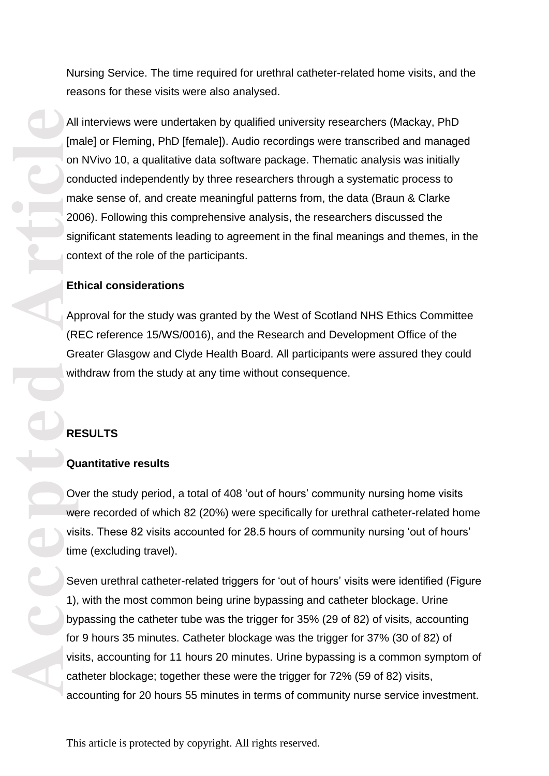Nursing Service. The time required for urethral catheter -related home visits, and the reasons for these visits were also analysed.

All interviews were undertaken by qualified university researchers (Mackay, PhD [male] or Fleming, PhD [female]). Audio recordings were transcribed and managed on NVivo 10, a qualitative data software package. Thematic analysis was initially conducted independently by three researchers through a systematic process to make sense of, and create meaningful patterns from, the data (Braun & Clarke 2006). Following this comprehensive analysis, the researchers discussed the significant statements leading to agreement in the final meanings and themes, in the context of the role of the participants.

#### **Ethical considerations**

Approval for the study was granted by the West of Scotland NHS Ethics Committee (REC reference 15/WS/0016), and the Research and Development Office of the Greater Glasgow and Clyde Health Board. All participants were assured they could withdraw from the study at any time without consequence.

## **RESULTS**

### **Quantitative results**

Over the study period, a total of 408 'out of hours' community nursing home visits were recorded of which 82 (20%) were specifically for urethral catheter -related home visits. These 82 visits accounted for 28.5 hours of community nursing 'out of hours' time (excluding travel).

Seven urethral catheter-related triggers for 'out of hours' visits were identified (Figure 1), with the most common being urine bypassing and catheter blockage. Urine bypassing the catheter tube was the trigger for 35% (29 of 82) of visits, accounting for 9 hours 35 minutes. Catheter blockage was the trigger for 37% (30 of 82) of visits, accounting for 11 hours 20 minutes. Urine bypassing is a common symptom of catheter blockage; together these were the trigger for 72% (59 of 82) visits, accounting for 20 hours 55 minutes in terms of community nurse service investment.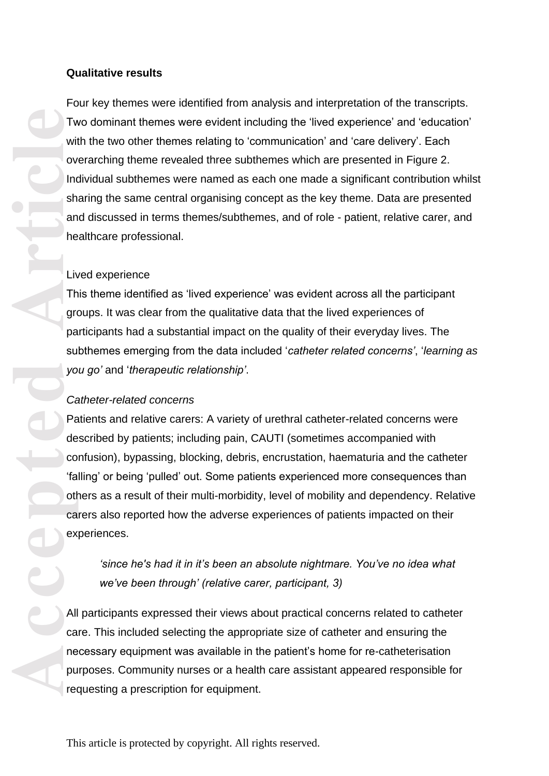#### **Qualitative results**

Four key themes were identified from analysis and interpretation of the transcripts. Two dominant themes were evident including the 'lived experience' and 'education' with the two other themes relating to 'communication' and 'care delivery'. Each overarching theme revealed three subthemes which are presented in Figure 2. Individual subthemes were named as each one made a significant contribution whilst sharing the same central organising concept as the key theme. Data are presented and discussed in terms themes/subthemes, and of role - patient, relative carer, and healthcare professional.

#### Lived experience

This theme identified as 'lived experience' was evident across all the participant groups. It was clear from the qualitative data that the lived experiences of participants had a substantial impact on the quality of their everyday lives. The subthemes emerging from the data included '*catheter related concerns'*, '*learning as you go'* and '*therapeutic relationship'* .

### *Catheter-related concerns*

Patients and relative carers: A variety of urethral catheter -related concerns were described by patients; including pain, CAUTI (sometimes accompanied with confusion), bypassing, blocking, debris, encrustation, haematuria and the catheter 'falling' or being 'pulled' out. Some patients experienced more consequences than others as a result of their multi -morbidity, level of mobility and dependency. Relative carers also reported how the adverse experiences of patients impacted on their experiences.

*'since he's had it in it's been an absolute nightmare. You've no idea what we've been through' (relative carer, participant, 3)* 

All participants expressed their views about practical concerns related to catheter care. This included selecting the appropriate size of catheter and ensuring the necessary equipment was available in the patient's home for re -catheterisation purposes. Community nurses or a health care assistant appeared responsible for requesting a prescription for equipment.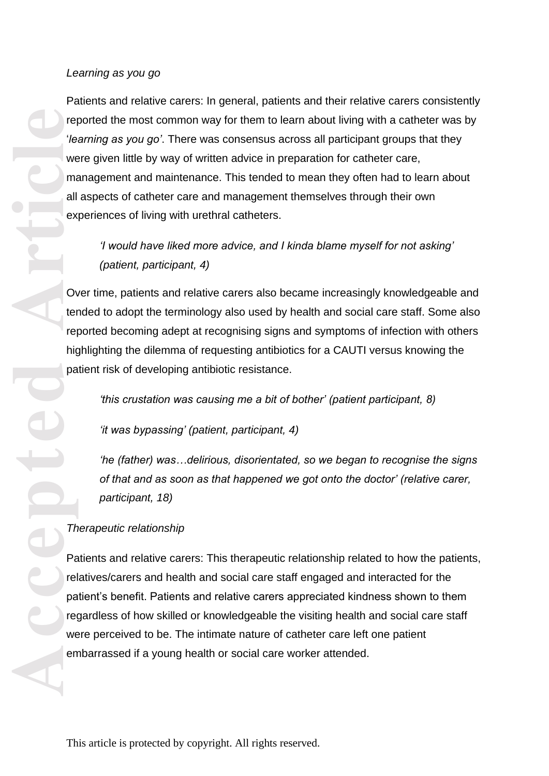### *Learning as you go*

Patients and relative carers: In general, patients and their relative carers consistently reported the most common way for them to learn about living with a catheter was by '*learning as you go'*. There was consensus across all participant groups that they were given little by way of written advice in preparation for catheter care, management and maintenance. This tended to mean they often had to learn about all aspects of catheter care and management themselves through their own experiences of living with urethral catheters.

*'I would have liked more advice, and I kinda blame myself for not asking' (patient, participant, 4)*

Over time, patients and relative carers also became increasingly knowledgeable and tended to adopt the terminology also used by health and social care staff. Some also reported becoming adept at recognising signs and symptoms of infection with others highlighting the dilemma of requesting antibiotics for a CAUTI versus knowing the patient risk of developing antibiotic resistance.

*'this crustation was causing me a bit of bother' (patient participant, 8)*

*'it was bypassing' (patient, participant, 4)*

*'he (father) was…delirious, disorientated, so we began to recognise the signs of that and as soon as that happened we got onto the doctor' (relative carer, participant, 18)*

## *Therapeutic relationship*

Patients and relative carers: This therapeutic relationship related to how the patients, relatives/carers and health and social care staff engaged and interacted for the patient's benefit. Patients and relative carers appreciated kindness shown to them regardless of how skilled or knowledgeable the visiting health and social care staff were perceived to be. The intimate nature of catheter care left one patient embarrassed if a young health or social care worker attended.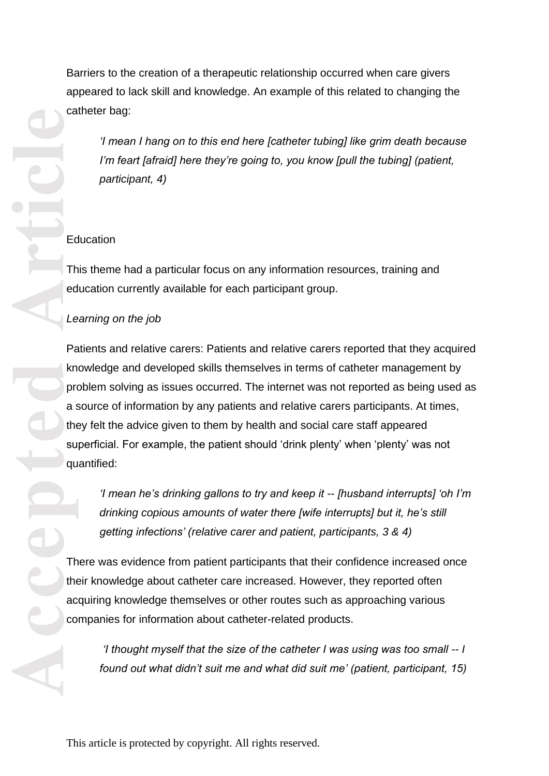Barriers to the creation of a therapeutic relationship occurred when care givers appeared to lack skill and knowledge. An example of this related to changing the catheter bag:

*'I mean I hang on to this end here [catheter tubing] like grim death because I'm feart [afraid] here they're going to, you know [pull the tubing] (patient, participant, 4)*

## Education

This theme had a particular focus on any information resources, training and education currently available for each participant group.

## *Learning on the job*

Patients and relative carers: Patients and relative carers reported that they acquired knowledge and developed skills themselves in terms of catheter management by problem solving as issues occurred. The internet was not reported as being used as a source of information by any patients and relative carers participants. At times, they felt the advice given to them by health and social care staff appeared superficial. For example, the patient should 'drink plenty' when 'plenty' was not quantified:

*'I mean he's drinking gallons to try and keep it -- [husband interrupts] 'oh I'm drinking copious amounts of water there [wife interrupts] but it, he's still getting infections' (relative carer and patient, participants, 3 & 4)*

There was evidence from patient participants that their confidence increased once their knowledge about catheter care increased. However, they reported often acquiring knowledge themselves or other routes such as approaching various companies for information about catheter -related products.

*'I thought myself that the size of the catheter I was using was too small -- I found out what didn't suit me and what did suit me' (patient, participant, 15)*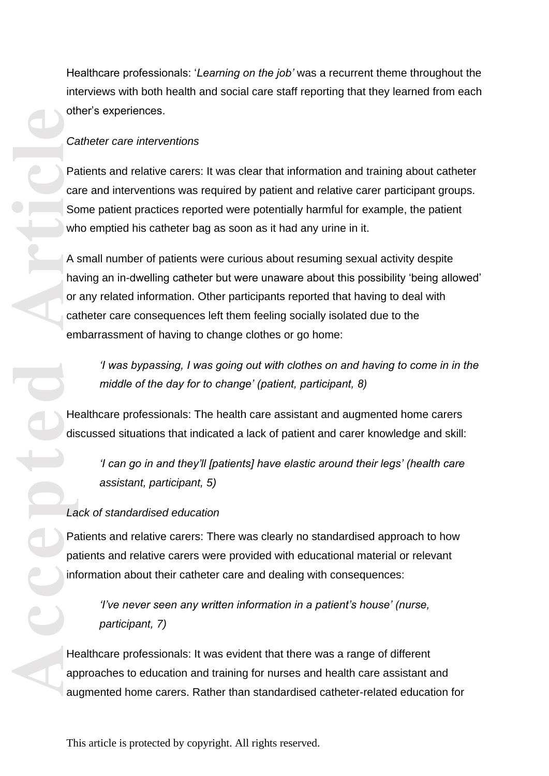Healthcare professionals: '*Learning on the job'* was a recurrent theme throughout the interviews with both health and social care staff reporting that they learned from each other's experiences.

### *Catheter care interventions*

Patients and relative carers: It was clear that information and training about catheter care and interventions was required by patient and relative carer participant groups. Some patient practices reported were potentially harmful for example, the patient who emptied his catheter bag as soon as it had any urine in it.

A small number of patients were curious about resuming sexual activity despite having an in -dwelling catheter but were unaware about this possibility 'being allowed' or any related information. Other participants reported that having to deal with catheter care consequences left them feeling socially isolated due to the embarrassment of having to change clothes or go home:

*'I was bypassing, I was going out with clothes on and having to come in in the middle of the day for to change' (patient, participant, 8)*

Healthcare professionals: The health care assistant and augmented home carers discussed situations that indicated a lack of patient and carer knowledge and skill:

*'I can go in and they'll [patients] have elastic around their legs' (health care assistant, participant, 5)*

## *Lack of standardised education*

Patients and relative carers: There was clearly no standardised approach to how patients and relative carers were provided with educational material or relevant information about their catheter care and dealing with consequences:

*'I've never seen any written information in a patient's house' (nurse, participant, 7)*

Healthcare professionals: It was evident that there was a range of different approaches to education and training for nurses and health care assistant and augmented home carers. Rather than standardised catheter -related education for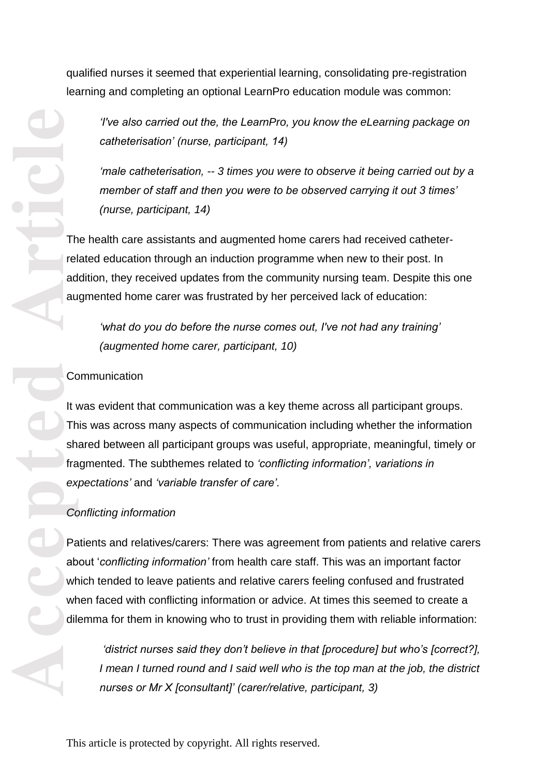qualified nurses it seemed that experiential learning, consolidating pre -registration learning and completing an optional LearnPro education module was common:

*'I've also carried out the, the LearnPro, you know the eLearning package on catheterisation' (nurse, participant, 14)*

*'male catheterisation, -- 3 times you were to observe it being carried out by a member of staff and then you were to be observed carrying it out 3 times' (nurse, participant, 14)*

The health care assistants and augmented home carers had received catheter related education through an induction programme when new to their post. In addition, they received updates from the community nursing team. Despite this one augmented home carer was frustrated by her perceived lack of education:

*'what do you do before the nurse comes out, I've not had any training' (augmented home carer, participant, 10)*

### **Communication**

It was evident that communication was a key theme across all participant groups. This was across many aspects of communication including whether the information shared between all participant groups was useful, appropriate, meaningful, timely or fragmented. The subthemes related to *'conflicting information', variations in expectations'* and *'variable transfer of care'.* 

### *Conflicting information*

Patients and relatives/carers: There was agreement from patients and relative carers about '*conflicting information'* from health care staff. This was an important factor which tended to leave patients and relative carers feeling confused and frustrated when faced with conflicting information or advice. At times this seemed to create a dilemma for them in knowing who to trust in providing them with reliable information:

*'district nurses said they don't believe in that [procedure] but who's [correct?], I mean I turned round and I said well who is the top man at the job, the district nurses or Mr X [consultant]' (carer/relative, participant, 3)*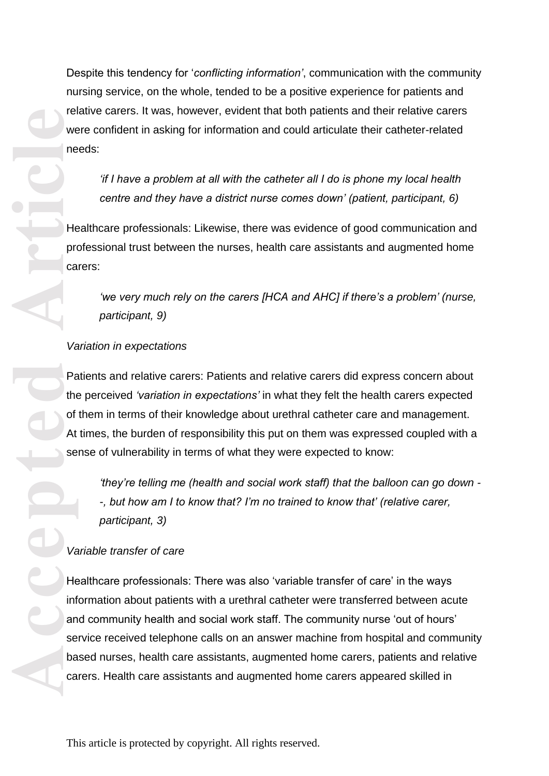Despite this tendency for '*conflicting information'*, communication with the community nursing service, on the whole, tended to be a positive experience for patients and relative carers. It was, however, evident that both patients and their relative carers were confident in asking for information and could articulate their catheter -related needs:

*'if I have a problem at all with the catheter all I do is phone my local health centre and they have a district nurse comes down' (patient, participant, 6)*

Healthcare professionals: Likewise, there was evidence of good communication and professional trust between the nurses, health care assistants and augmented home

*'we very much rely on the carers [HCA and AHC] if there's a problem' (nurse, participant, 9)*

### *Variation in expectations*

Patients and relative carers: Patients and relative carers did express concern about the perceived *'variation in expectations'* in what they felt the health carers expected of them in terms of their knowledge about urethral catheter care and management. At times, the burden of responsibility this put on them was expressed coupled with a sense of vulnerability in terms of what they were expected to know:

*'they're telling me (health and social work staff) that the balloon can go down - -, but how am I to know that? I'm no trained to know that' (relative carer, participant, 3)*

## *Variable transfer of care*

Healthcare professionals: There was also 'variable transfer of care' in the ways information about patients with a urethral catheter were transferred between acute and community health and social work staff. The community nurse 'out of hours' service received telephone calls on an answer machine from hospital and community based nurses, health care assistants, augmented home carers, patients and relative carers. Health care assistants and augmented home carers appeared skilled in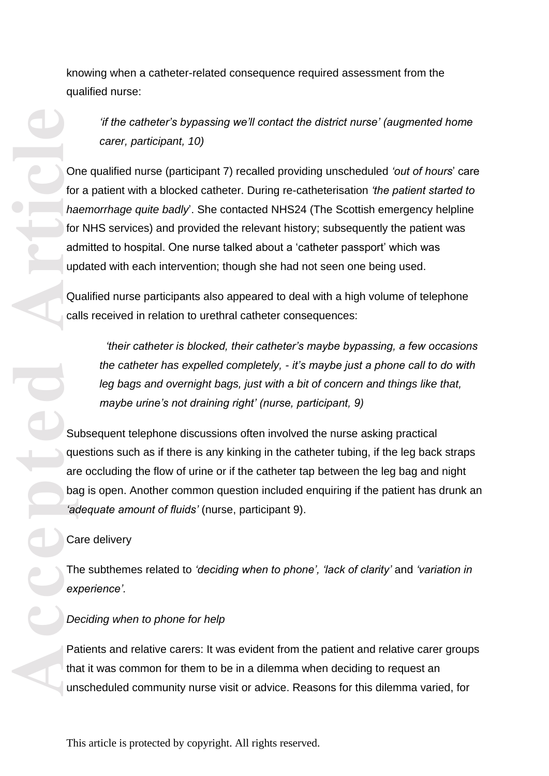knowing when a catheter -related consequence required assessment from the qualified nurse:

*'if the catheter's bypassing we'll contact the district nurse' (augmented home carer, participant, 10)* 

One qualified nurse (participant 7) recalled providing unscheduled *'out of hours*' care for a patient with a blocked catheter. During re -catheterisation *'the patient started to haemorrhage quite badly*'. She contacted NHS24 (The Scottish emergency helpline for NHS services) and provided the relevant history; subsequently the patient was admitted to hospital. One nurse talked about a 'catheter passport' which was updated with each intervention; though she had not seen one being used.

Qualified nurse participants also appeared to deal with a high volume of telephone calls received in relation to urethral catheter consequences:

*'their catheter is blocked, their catheter's maybe bypassing, a few occasions the catheter has expelled completely, - it's maybe just a phone call to do with leg bags and overnight bags, just with a bit of concern and things like that, maybe urine's not draining right' (nurse, participant, 9)*

Subsequent telephone discussions often involved the nurse asking practical questions such as if there is any kinking in the catheter tubing, if the leg back straps are occluding the flow of urine or if the catheter tap between the leg bag and night bag is open. Another common question included enquiring if the patient has drunk an *'adequate amount of fluids'* (nurse, participant 9).

### Care delivery

The subthemes related to *'deciding when to phone', 'lack of clarity'* and *'variation in experience'.* 

## *Deciding when to phone for help*

Patients and relative carers: It was evident from the patient and relative carer groups that it was common for them to be in a dilemma when deciding to request an unscheduled community nurse visit or advice. Reasons for this dilemma varied, for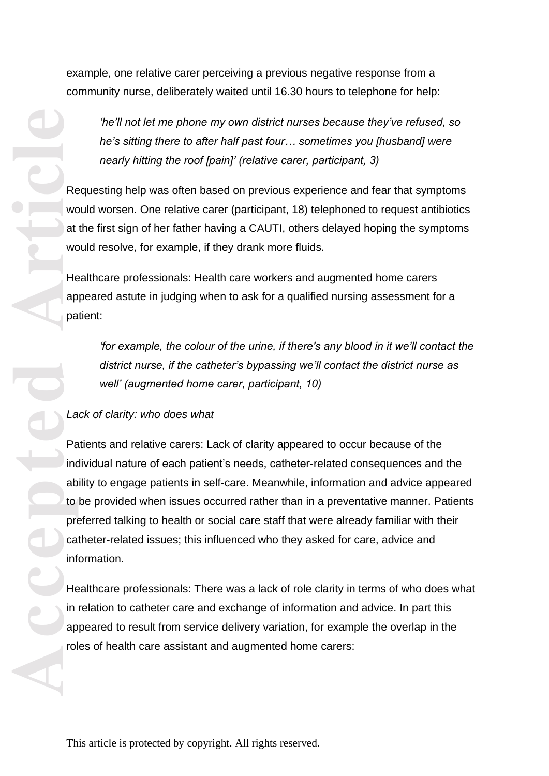example, one relative carer perceiving a previous negative response from a community nurse, deliberately waited until 16.30 hours to telephone for help:

*'he'll not let me phone my own district nurses because they've refused, so he's sitting there to after half past four… sometimes you [husband] were nearly hitting the roof [pain]' (relative carer, participant, 3)*

Requesting help was often based on previous experience and fear that symptoms would worsen. One relative carer (participant, 18) telephoned to request antibiotics at the first sign of her father having a CAUTI, others delayed hoping the symptoms would resolve, for example, if they drank more fluids.

Healthcare professionals: Health care workers and augmented home carers appeared astute in judging when to ask for a qualified nursing assessment for a patient:

*'for example, the colour of the urine, if there's any blood in it we'll contact the district nurse, if the catheter's bypassing we'll contact the district nurse as well' (augmented home carer, participant, 10)* 

### *Lack of clarity: who does what*

Patients and relative carers: Lack of clarity appeared to occur because of the individual nature of each patient's needs, catheter -related consequences and the ability to engage patients in self -care. Meanwhile, information and advice appeared to be provided when issues occurred rather than in a preventative manner. Patients preferred talking to health or social care staff that were already familiar with their catheter -related issues; this influenced who they asked for care, advice and information.

Healthcare professionals: There was a lack of role clarity in terms of who does what in relation to catheter care and exchange of information and advice. In part this appeared to result from service delivery variation, for example the overlap in the roles of health care assistant and augmented home carers: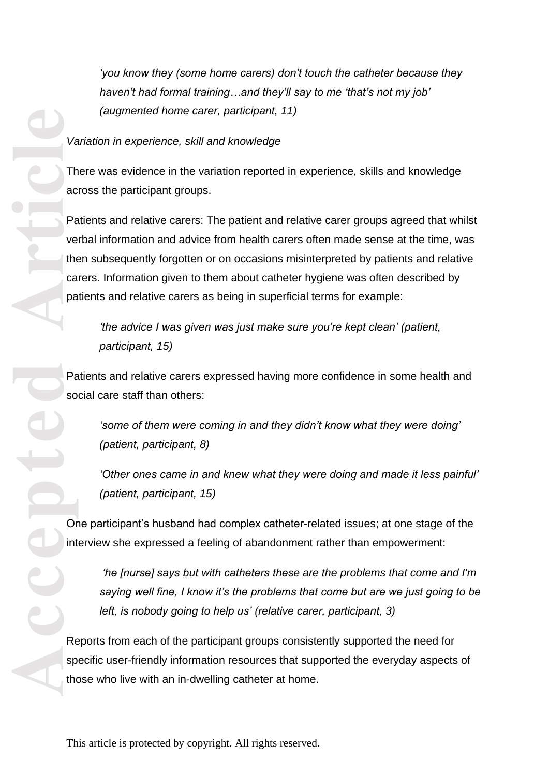*'you know they (some home carers) don't touch the catheter because they haven't had formal training…and they'll say to me 'that's not my job' (augmented home carer, participant, 11)*

## *Variation in experience, skill and knowledge*

There was evidence in the variation reported in experience, skills and knowledge across the participant groups.

Patients and relative carers: The patient and relative carer groups agreed that whilst verbal information and advice from health carers often made sense at the time, was then subsequently forgotten or on occasions misinterpreted by patients and relative carers. Information given to them about catheter hygiene was often described by patients and relative carers as being in superficial terms for example:

*'the advice I was given was just make sure you're kept clean' (patient, participant, 15)* 

Patients and relative carers expressed having more confidence in some health and social care staff than others:

*'some of them were coming in and they didn't know what they were doing' (patient, participant, 8)*

*'Other ones came in and knew what they were doing and made it less painful' (patient, participant, 15)*

One participant's husband had complex catheter -related issues; at one stage of the interview she expressed a feeling of abandonment rather than empowerment:

*'he [nurse] says but with catheters these are the problems that come and I'm saying well fine, I know it's the problems that come but are we just going to be left, is nobody going to help us' (relative carer, participant, 3)*

Reports from each of the participant groups consistently supported the need for specific user -friendly information resources that supported the everyday aspects of those who live with an in -dwelling catheter at home.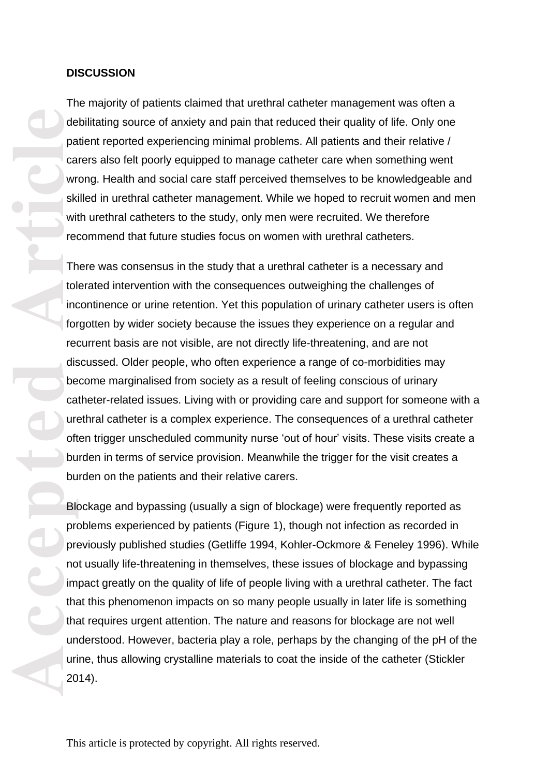#### **DISCUSSION**

The majority of patients claimed that urethral catheter management was often a debilitating source of anxiety and pain that reduced their quality of life. Only one patient reported experiencing minimal problems. All patients and their relative / carers also felt poorly equipped to manage catheter care when something went wrong. Health and social care staff perceived themselves to be knowledgeable and skilled in urethral catheter management. While we hoped to recruit women and men with urethral catheters to the study, only men were recruited. We therefore recommend that future studies focus on women with urethral catheters.

**Accepted Article** There was consensus in the study that a urethral catheter is a necessary and tolerated intervention with the consequences outweighing the challenges of incontinence or urine retention. Yet this population of urinary catheter users is often forgotten by wider society because the issues they experience on a regular and recurrent basis are not visible, are not directly life -threatening, and are not discussed. Older people, who often experience a range of co -morbidities may become marginalised from society as a result of feeling conscious of urinary catheter -related issues. Living with or providing care and support for someone with a urethral catheter is a complex experience. The consequences of a urethral catheter often trigger unscheduled community nurse 'out of hour' visits. These visits create a burden in terms of service provision. Meanwhile the trigger for the visit creates a burden on the patients and their relative carers.

Blockage and bypassing (usually a sign of blockage) were frequently reported as problems experienced by patients (Figure 1), though not infection as recorded in previously published studies (Getliffe 1994, Kohler -Ockmore & Feneley 1996). While not usually life-threatening in themselves, these issues of blockage and bypassing impact greatly on the quality of life of people living with a urethral catheter. The fact that this phenomenon impacts on so many people usually in later life is something that requires urgent attention. The nature and reasons for blockage are not well understood. However, bacteria play a role, perhaps by the changing of the pH of the urine, thus allowing crystalline materials to coat the inside of the catheter (Stickler 2014) .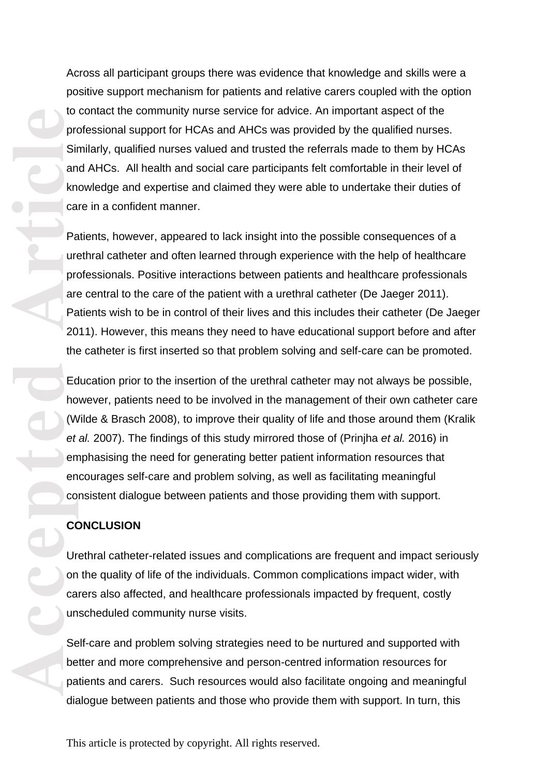Across all participant groups there was evidence that knowledge and skills were a positive support mechanism for patients and relative carers coupled with the option to contact the community nurse service for advice. An important aspect of the professional support for HCAs and AHCs was provided by the qualified nurses. Similarly, qualified nurses valued and trusted the referrals made to them by HCAs and AHCs. All health and social care participants felt comfortable in their level of knowledge and expertise and claimed they were able to undertake their duties of care in a confident manner.

**Accepted Article**<br> **Article**<br> **Article**<br> **Article**<br> **Article**<br> **Article**<br> **Article**<br> **Article**<br> **Article**<br> **Article**<br> **Article**<br> **Article**<br> **Article**<br> **Article**<br> **Article**<br> **Article**<br> **Article**<br> **Article**<br> **Article**<br> **A** Patients, however, appeared to lack insight into the possible consequences of a urethral catheter and often learned through experience with the help of healthcare professionals. Positive interactions between patients and healthcare professionals are central to the care of the patient with a urethral catheter (De Jaeger 2011). Patients wish to be in control of their lives and this includes their catheter (De Jaeger 2011). However, this means they need to have educational support before and after the catheter is first inserted so that problem solving and self -care can be promoted.

Education prior to the insertion of the urethral catheter may not always be possible, however, patients need to be involved in the management of their own catheter care (Wilde & Brasch 2008), to improve their quality of life and those around them (Kralik *et al.* 2007). The findings of this study mirrored those of (Prinjha *et al.* 2016) in emphasising the need for generating better patient information resources that encourages self -care and problem solving, as well as facilitating meaningful consistent dialogue between patients and those providing them with support.

#### **CONCLUSION**

Urethral catheter-related issues and complications are frequent and impact seriously on the quality of life of the individuals. Common complications impact wider, with carers also affected, and healthcare professionals impacted by frequent, costly unscheduled community nurse visits.

Self -care and problem solving strategies need to be nurtured and supported with better and more comprehensive and person -centred information resources for patients and carers. Such resources would also facilitate ongoing and meaningful dialogue between patients and those who provide them with support. In turn, this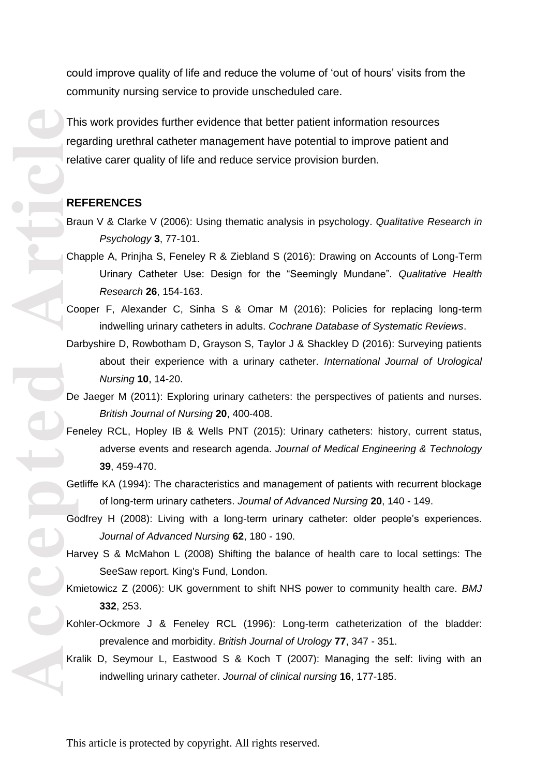could improve quality of life and reduce the volume of 'out of hours' visits from the community nursing service to provide unscheduled care.

This work provides further evidence that better patient information resources regarding urethral catheter management have potential to improve patient and relative carer quality of life and reduce service provision burden.

#### **REFERENCES**

- Braun V & Clarke V (2006): Using thematic analysis in psychology. *Qualitative Research in Psychology* **3**, 77 -101.
- Chapple A, Prinjha S, Feneley R & Ziebland S (2016): Drawing on Accounts of Long -Term Urinary Catheter Use: Design for the "Seemingly Mundane". *Qualitative Health Research* **26**, 154 -163.
- Cooper F, Alexander C, Sinha S & Omar M (2016): Policies for replacing long -term indwelling urinary catheters in adults. *Cochrane Database of Systematic Reviews* .
- Darbyshire D, Rowbotham D, Grayson S, Taylor J & Shackley D (2016): Surveying patients about their experience with a urinary catheter. *International Journal of Urological Nursing* **10**, 14 -20.
- De Jaeger M (2011): Exploring urinary catheters: the perspectives of patients and nurses. *British Journal of Nursing* **20**, 400 -408.
- Feneley RCL, Hopley IB & Wells PNT (2015): Urinary catheters: history, current status, adverse events and research agenda. *Journal of Medical Engineering & Technology* **39**, 459 -470.
- Getliffe KA (1994): The characteristics and management of patients with recurrent blockage of long -term urinary catheters. *Journal of Advanced Nursing* **20**, 140 - 149.
- Godfrey H (2008): Living with a long-term urinary catheter: older people's experiences. *Journal of Advanced Nursing* **62**, 180 - 190.
- Harvey S & McMahon L (2008) Shifting the balance of health care to local settings: The SeeSaw report. King's Fund, London.
- Kmietowicz Z (2006): UK government to shift NHS power to community health care. *BMJ* **332**, 253.
- Kohler-Ockmore J & Feneley RCL (1996): Long-term catheterization of the bladder: prevalence and morbidity. *British Journal of Urology* **77**, 347 - 351.
- Kralik D, Seymour L, Eastwood S & Koch T (2007): Managing the self: living with an indwelling urinary catheter. *Journal of clinical nursing* **16**, 177 -185.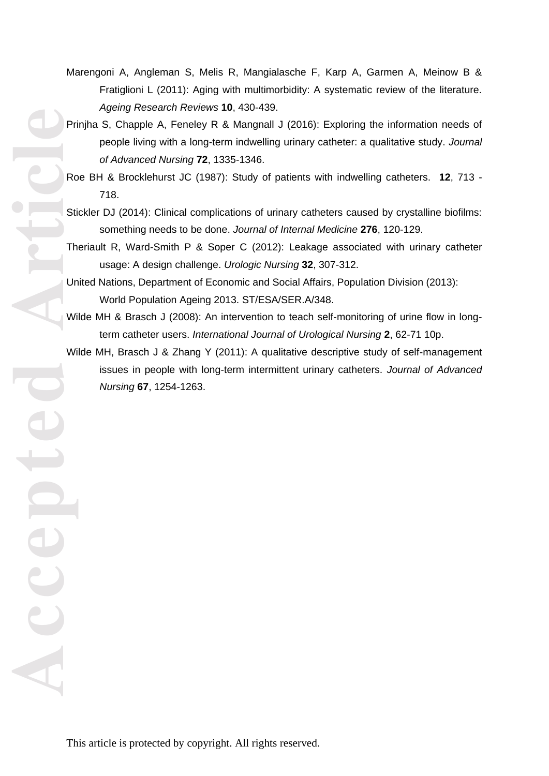- Marengoni A, Angleman S, Melis R, Mangialasche F, Karp A, Garmen A, Meinow B & Fratiglioni L (2011): Aging with multimorbidity: A systematic review of the literature. *Ageing Research Reviews* **10**, 430 -439.
- Prinjha S, Chapple A, Feneley R & Mangnall J (2016): Exploring the information needs of people living with a long-term indwelling urinary catheter: a qualitative study. Journal *of Advanced Nursing* **72**, 1335 -1346.
- Roe BH & Brocklehurst JC (1987): Study of patients with indwelling catheters. **12**, 713 718.
- Stickler DJ (2014): Clinical complications of urinary catheters caused by crystalline biofilms: something needs to be done. *Journal of Internal Medicine* **276**, 120 -129.
- Theriault R, Ward -Smith P & Soper C (2012): Leakage associated with urinary catheter usage: A design challenge. *Urologic Nursing* **32**, 307 -312.
- United Nations, Department of Economic and Social Affairs, Population Division (2013): World Population Ageing 2013. ST/ESA/SER.A/348.
- Wilde MH & Brasch J (2008): An intervention to teach self-monitoring of urine flow in longterm catheter users. *International Journal of Urological Nursing* **2**, 62 -71 10p.
- Wilde MH, Brasch J & Zhang Y (2011): A qualitative descriptive study of self -management issues in people with long-term intermittent urinary catheters. Journal of Advanced *Nursing* **67**, 1254 -1263.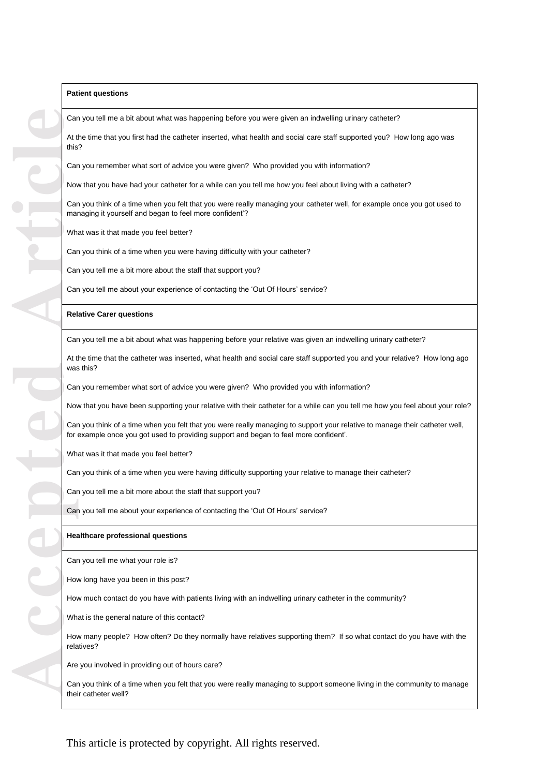#### **Patient questions**

Can you tell me a bit about what was happening before you were given an indwelling urinary catheter?

At the time that you first had the catheter inserted, what health and social care staff supported you? How long ago was this?

Can you remember what sort of advice you were given? Who provided you with information?

Now that you have had your catheter for a while can you tell me how you feel about living with a catheter?

Can you think of a time when you felt that you were really managing your catheter well, for example once you got used to managing it yourself and began to feel more confident'?

What was it that made you feel better?

Can you think of a time when you were having difficulty with your catheter?

Can you tell me a bit more about the staff that support you?

Can you tell me about your experience of contacting the 'Out Of Hours' service?

#### **Relative Carer questions**

Can you tell me a bit about what was happening before your relative was given an indwelling urinary catheter?

At the time that the catheter was inserted, what health and social care staff supported you and your relative? How long ago was this?

Can you remember what sort of advice you were given? Who provided you with information?

Now that you have been supporting your relative with their catheter for a while can you tell me how you feel about your role?

Can you think of a time when you felt that you were really managing to support your relative to manage their catheter well, for example once you got used to providing support and began to feel more confident'.

What was it that made you feel better?

Can you think of a time when you were having difficulty supporting your relative to manage their catheter?

Can you tell me a bit more about the staff that support you?

Can you tell me about your experience of contacting the 'Out Of Hours' service?

#### **Healthcare professional questions**

Can you tell me what your role is?

How long have you been in this post?

How much contact do you have with patients living with an indwelling urinary catheter in the community?

What is the general nature of this contact?

How many people? How often? Do they normally have relatives supporting them? If so what contact do you have with the relatives?

Are you involved in providing out of hours care?

Can you think of a time when you felt that you were really managing to support someone living in the community to manage their catheter well?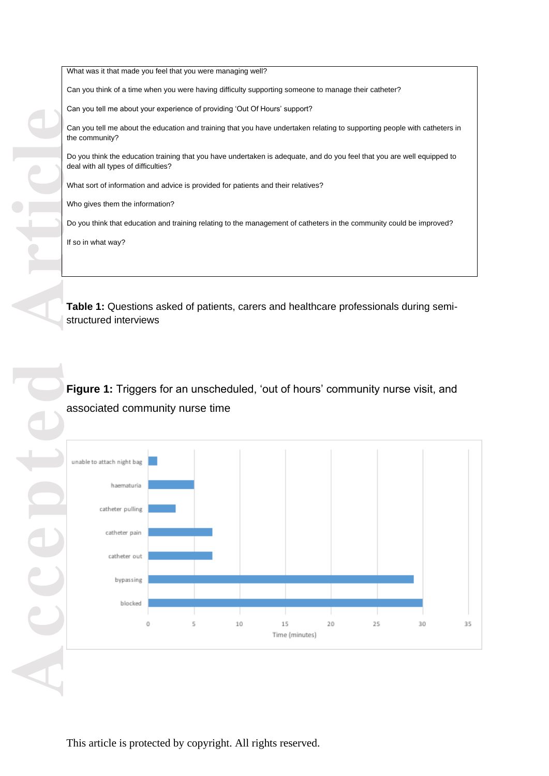What was it that made you feel that you were managing well? Can you think of a time when you were having difficulty supporting someone to manage their catheter? Can you tell me about your experience of providing 'Out Of Hours' support? Can you tell me about the education and training that you have undertaken relating to supporting people with catheters in the community? Do you think the education training that you have undertaken is adequate, and do you feel that you are well equipped to deal with all types of difficulties? What sort of information and advice is provided for patients and their relatives? Who gives them the information? Do you think that education and training relating to the management of catheters in the community could be improved? If so in what way?

**Table 1:** Questions asked of patients, carers and healthcare professionals during semi structured interviews

**Figure 1:** Triggers for an unscheduled, 'out of hours' community nurse visit, and associated community nurse time